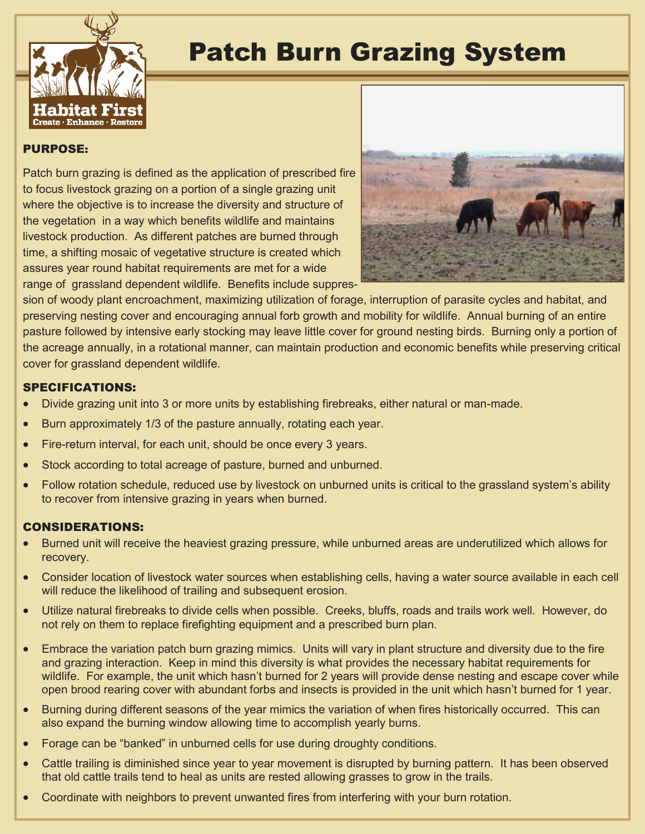

## Patch Burn Grazing System

## PURPOSE:

Patch burn grazing is defined as the application of prescribed fire to focus livestock grazing on a portion of a single grazing unit where the objective is to increase the diversity and structure of the vegetation in a way which benefits wildlife and maintains livestock production. As different patches are burned through time, a shifting mosaic of vegetative structure is created which assures year round habitat requirements are met for a wide range of grassland dependent wildlife. Benefits include suppres-



sion of woody plant encroachment, maximizing utilization of forage, interruption of parasite cycles and habitat, and preserving nesting cover and encouraging annual forb growth and mobility for wildlife. Annual burning of an entire pasture followed by intensive early stocking may leave little cover for ground nesting birds. Burning only a portion of the acreage annually, in a rotational manner, can maintain production and economic benefits while preserving critical cover for grassland dependent wildlife.

## SPECIFICATIONS:

- Divide grazing unit into 3 or more units by establishing firebreaks, either natural or man-made.
- Burn approximately 1/3 of the pasture annually, rotating each year.
- Fire-return interval, for each unit, should be once every 3 years.
- Stock according to total acreage of pasture, burned and unburned.
- Follow rotation schedule, reduced use by livestock on unburned units is critical to the grassland system's ability to recover from intensive grazing in years when burned.

## CONSIDERATIONS:

- Burned unit will receive the heaviest grazing pressure, while unburned areas are underutilized which allows for recovery.
- Consider location of livestock water sources when establishing cells, having a water source available in each cell will reduce the likelihood of trailing and subsequent erosion.
- Utilize natural firebreaks to divide cells when possible. Creeks, bluffs, roads and trails work well. However, do not rely on them to replace firefighting equipment and a prescribed burn plan.
- Embrace the variation patch burn grazing mimics. Units will vary in plant structure and diversity due to the fire and grazing interaction. Keep in mind this diversity is what provides the necessary habitat requirements for wildlife. For example, the unit which hasn't burned for 2 years will provide dense nesting and escape cover while open brood rearing cover with abundant forbs and insects is provided in the unit which hasn't burned for 1 year.
- Burning during different seasons of the year mimics the variation of when fires historically occurred. This can also expand the burning window allowing time to accomplish yearly burns.
- Forage can be "banked" in unburned cells for use during droughty conditions.
- Cattle trailing is diminished since year to year movement is disrupted by burning pattern. It has been observed that old cattle trails tend to heal as units are rested allowing grasses to grow in the trails.
- Coordinate with neighbors to prevent unwanted fires from interfering with your burn rotation.